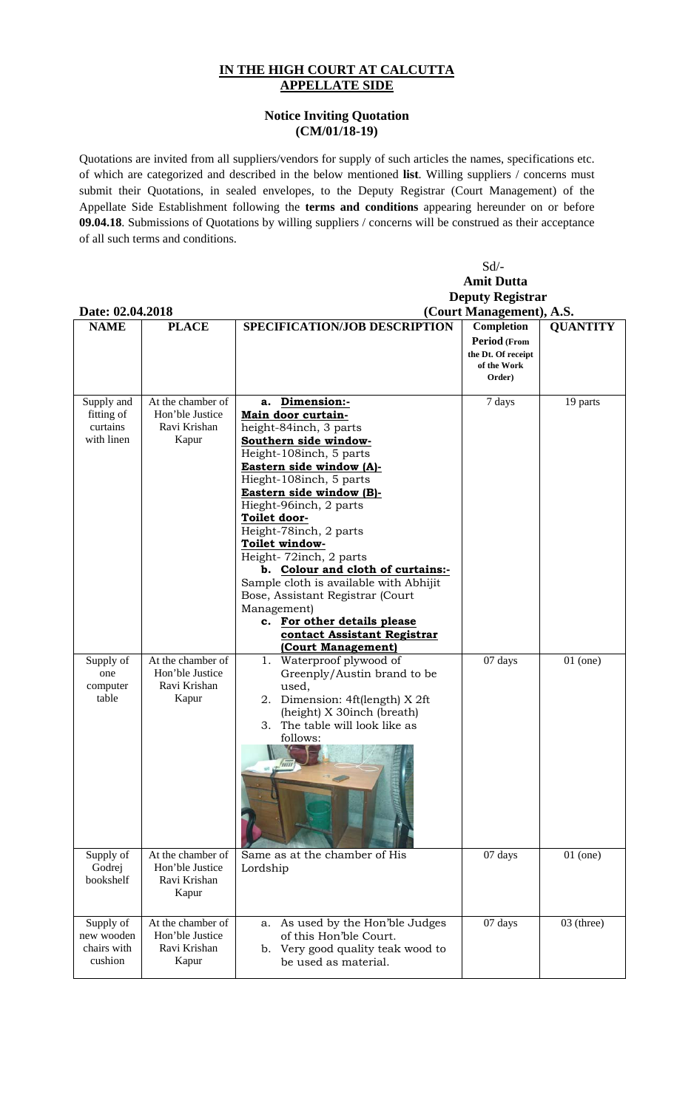## **IN THE HIGH COURT AT CALCUTTA APPELLATE SIDE**

## **Notice Inviting Quotation (CM/01/18-19)**

Quotations are invited from all suppliers/vendors for supply of such articles the names, specifications etc. of which are categorized and described in the below mentioned **list**. Willing suppliers / concerns must submit their Quotations, in sealed envelopes, to the Deputy Registrar (Court Management) of the Appellate Side Establishment following the **terms and conditions** appearing hereunder on or before **09.04.18**. Submissions of Quotations by willing suppliers / concerns will be construed as their acceptance of all such terms and conditions.

|                                                    |                                                               | $Sd$ /-                                                                                                                                                                                                                                                                                                                                                                                                                                                                                                                                     |                                                                           |                 |  |  |  |
|----------------------------------------------------|---------------------------------------------------------------|---------------------------------------------------------------------------------------------------------------------------------------------------------------------------------------------------------------------------------------------------------------------------------------------------------------------------------------------------------------------------------------------------------------------------------------------------------------------------------------------------------------------------------------------|---------------------------------------------------------------------------|-----------------|--|--|--|
|                                                    |                                                               | <b>Amit Dutta</b>                                                                                                                                                                                                                                                                                                                                                                                                                                                                                                                           |                                                                           |                 |  |  |  |
|                                                    |                                                               | <b>Deputy Registrar</b>                                                                                                                                                                                                                                                                                                                                                                                                                                                                                                                     |                                                                           |                 |  |  |  |
| Date: 02.04.2018                                   |                                                               | (Court Management), A.S.                                                                                                                                                                                                                                                                                                                                                                                                                                                                                                                    |                                                                           |                 |  |  |  |
| <b>NAME</b>                                        | <b>PLACE</b>                                                  | SPECIFICATION/JOB DESCRIPTION                                                                                                                                                                                                                                                                                                                                                                                                                                                                                                               | Completion<br>Period (From<br>the Dt. Of receipt<br>of the Work<br>Order) | <b>QUANTITY</b> |  |  |  |
| Supply and<br>fitting of<br>curtains<br>with linen | At the chamber of<br>Hon'ble Justice<br>Ravi Krishan<br>Kapur | a. Dimension:-<br>Main door curtain-<br>height-84inch, 3 parts<br>Southern side window-<br>Height-108inch, 5 parts<br>Eastern side window (A)-<br>Hieght-108inch, 5 parts<br>Eastern side window (B)-<br>Hieght-96inch, 2 parts<br>Toilet door-<br>Height-78inch, 2 parts<br>Toilet window-<br>Height-72inch, 2 parts<br>b. Colour and cloth of curtains:-<br>Sample cloth is available with Abhijit<br>Bose, Assistant Registrar (Court<br>Management)<br>c. For other details please<br>contact Assistant Registrar<br>(Court Management) | 7 days                                                                    | 19 parts        |  |  |  |
| Supply of<br>one<br>computer<br>table              | At the chamber of<br>Hon'ble Justice<br>Ravi Krishan<br>Kapur | Waterproof plywood of<br>1.<br>Greenply/Austin brand to be<br>used,<br>2. Dimension: 4ft(length) X 2ft<br>(height) X 30inch (breath)<br>3. The table will look like as<br>follows:<br>fm                                                                                                                                                                                                                                                                                                                                                    | 07 days                                                                   | $01$ (one)      |  |  |  |
| Supply of<br>Godrej<br>bookshelf                   | At the chamber of<br>Hon'ble Justice<br>Ravi Krishan<br>Kapur | Same as at the chamber of His<br>Lordship                                                                                                                                                                                                                                                                                                                                                                                                                                                                                                   | 07 days                                                                   | $01$ (one)      |  |  |  |
| Supply of<br>new wooden<br>chairs with<br>cushion  | At the chamber of<br>Hon'ble Justice<br>Ravi Krishan<br>Kapur | As used by the Hon'ble Judges<br>a.<br>of this Hon'ble Court.<br>Very good quality teak wood to<br>b.<br>be used as material.                                                                                                                                                                                                                                                                                                                                                                                                               | 07 days                                                                   | 03 (three)      |  |  |  |